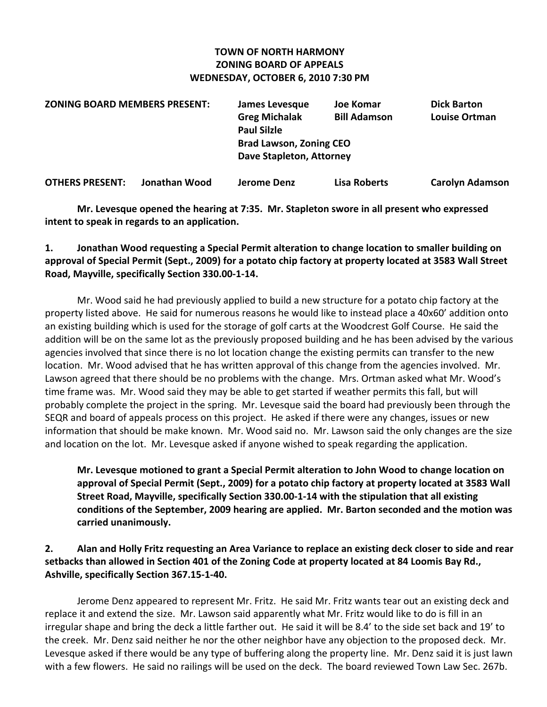### **TOWN OF NORTH HARMONY ZONING BOARD OF APPEALS WEDNESDAY, OCTOBER 6, 2010 7:30 PM**

| <b>ZONING BOARD MEMBERS PRESENT:</b> | James Levesque                 | Joe Komar           | <b>Dick Barton</b>   |
|--------------------------------------|--------------------------------|---------------------|----------------------|
|                                      | <b>Greg Michalak</b>           | <b>Bill Adamson</b> | <b>Louise Ortman</b> |
|                                      | <b>Paul Silzle</b>             |                     |                      |
|                                      | <b>Brad Lawson, Zoning CEO</b> |                     |                      |
|                                      | Dave Stapleton, Attorney       |                     |                      |
|                                      |                                |                     |                      |

**OTHERS PRESENT: Jonathan Wood Jerome Denz Lisa Roberts Carolyn Adamson**

**Mr. Levesque opened the hearing at 7:35. Mr. Stapleton swore in all present who expressed intent to speak in regards to an application.**

## **1. Jonathan Wood requesting a Special Permit alteration to change location to smaller building on** approval of Special Permit (Sept., 2009) for a potato chip factory at property located at 3583 Wall Street **Road, Mayville, specifically Section 330.00‐1‐14.**

Mr. Wood said he had previously applied to build a new structure for a potato chip factory at the property listed above. He said for numerous reasons he would like to instead place a 40x60' addition onto an existing building which is used for the storage of golf carts at the Woodcrest Golf Course. He said the addition will be on the same lot as the previously proposed building and he has been advised by the various agencies involved that since there is no lot location change the existing permits can transfer to the new location. Mr. Wood advised that he has written approval of this change from the agencies involved. Mr. Lawson agreed that there should be no problems with the change. Mrs. Ortman asked what Mr. Wood's time frame was. Mr. Wood said they may be able to get started if weather permits this fall, but will probably complete the project in the spring. Mr. Levesque said the board had previously been through the SEQR and board of appeals process on this project. He asked if there were any changes, issues or new information that should be make known. Mr. Wood said no. Mr. Lawson said the only changes are the size and location on the lot. Mr. Levesque asked if anyone wished to speak regarding the application.

## **Mr. Levesque motioned to grant a Special Permit alteration to John Wood to change location on approval of Special Permit (Sept., 2009) for a potato chip factory at property located at 3583 Wall Street Road, Mayville, specifically Section 330.00‐1‐14 with the stipulation that all existing conditions of the September, 2009 hearing are applied. Mr. Barton seconded and the motion was carried unanimously.**

## 2. Alan and Holly Fritz requesting an Area Variance to replace an existing deck closer to side and rear **setbacks than allowed in Section 401 of the Zoning Code at property located at 84 Loomis Bay Rd., Ashville, specifically Section 367.15‐1‐40.**

Jerome Denz appeared to represent Mr. Fritz. He said Mr. Fritz wants tear out an existing deck and replace it and extend the size. Mr. Lawson said apparently what Mr. Fritz would like to do is fill in an irregular shape and bring the deck a little farther out. He said it will be 8.4' to the side set back and 19' to the creek. Mr. Denz said neither he nor the other neighbor have any objection to the proposed deck. Mr. Levesque asked if there would be any type of buffering along the property line. Mr. Denz said it is just lawn with a few flowers. He said no railings will be used on the deck. The board reviewed Town Law Sec. 267b.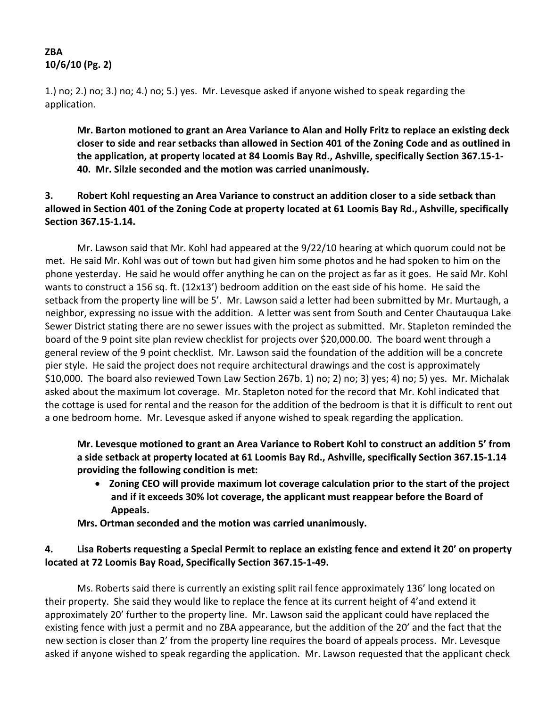# **ZBA 10/6/10 (Pg. 2)**

1.) no; 2.) no; 3.) no; 4.) no; 5.) yes. Mr. Levesque asked if anyone wished to speak regarding the application.

**Mr. Barton motioned to grant an Area Variance to Alan and Holly Fritz to replace an existing deck** closer to side and rear setbacks than allowed in Section 401 of the Zoning Code and as outlined in **the application, at property located at 84 Loomis Bay Rd., Ashville, specifically Section 367.15‐1‐ 40. Mr. Silzle seconded and the motion was carried unanimously.**

**3. Robert Kohl requesting an Area Variance to construct an addition closer to a side setback than** allowed in Section 401 of the Zoning Code at property located at 61 Loomis Bay Rd., Ashville, specifically **Section 367.15‐1.14.** 

Mr. Lawson said that Mr. Kohl had appeared at the 9/22/10 hearing at which quorum could not be met. He said Mr. Kohl was out of town but had given him some photos and he had spoken to him on the phone yesterday. He said he would offer anything he can on the project as far as it goes. He said Mr. Kohl wants to construct a 156 sq. ft. (12x13') bedroom addition on the east side of his home. He said the setback from the property line will be 5'. Mr. Lawson said a letter had been submitted by Mr. Murtaugh, a neighbor, expressing no issue with the addition. A letter was sent from South and Center Chautauqua Lake Sewer District stating there are no sewer issues with the project as submitted. Mr. Stapleton reminded the board of the 9 point site plan review checklist for projects over \$20,000.00. The board went through a general review of the 9 point checklist. Mr. Lawson said the foundation of the addition will be a concrete pier style. He said the project does not require architectural drawings and the cost is approximately \$10,000. The board also reviewed Town Law Section 267b. 1) no; 2) no; 3) yes; 4) no; 5) yes. Mr. Michalak asked about the maximum lot coverage. Mr. Stapleton noted for the record that Mr. Kohl indicated that the cottage is used for rental and the reason for the addition of the bedroom is that it is difficult to rent out a one bedroom home. Mr. Levesque asked if anyone wished to speak regarding the application.

## **Mr. Levesque motioned to grant an Area Variance to Robert Kohl to construct an addition 5' from a side setback at property located at 61 Loomis Bay Rd., Ashville, specifically Section 367.15‐1.14 providing the following condition is met:**

 **Zoning CEO will provide maximum lot coverage calculation prior to the start of the project and if it exceeds 30% lot coverage, the applicant must reappear before the Board of Appeals.**

**Mrs. Ortman seconded and the motion was carried unanimously.**

## 4. Lisa Roberts requesting a Special Permit to replace an existing fence and extend it 20' on property **located at 72 Loomis Bay Road, Specifically Section 367.15‐1‐49.**

Ms. Roberts said there is currently an existing split rail fence approximately 136' long located on their property. She said they would like to replace the fence at its current height of 4'and extend it approximately 20' further to the property line. Mr. Lawson said the applicant could have replaced the existing fence with just a permit and no ZBA appearance, but the addition of the 20' and the fact that the new section is closer than 2' from the property line requires the board of appeals process. Mr. Levesque asked if anyone wished to speak regarding the application. Mr. Lawson requested that the applicant check